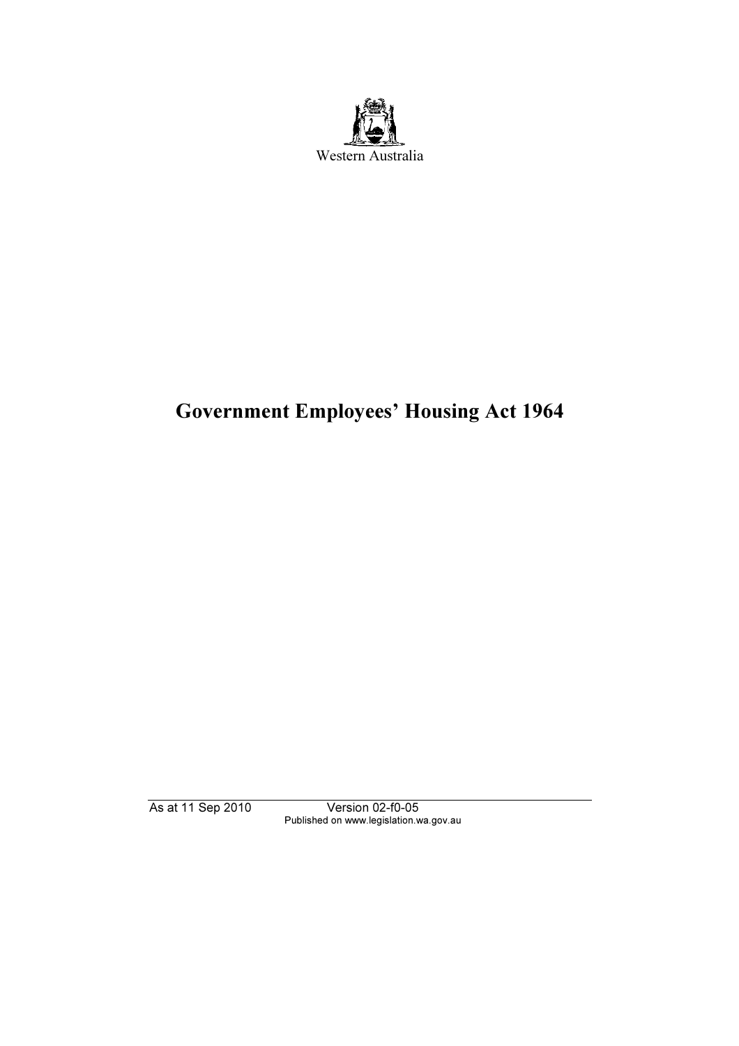

# Government Employees' Housing Act 1964

As at 11 Sep 2010 Version 02-f0-05 Published on www.legislation.wa.gov.au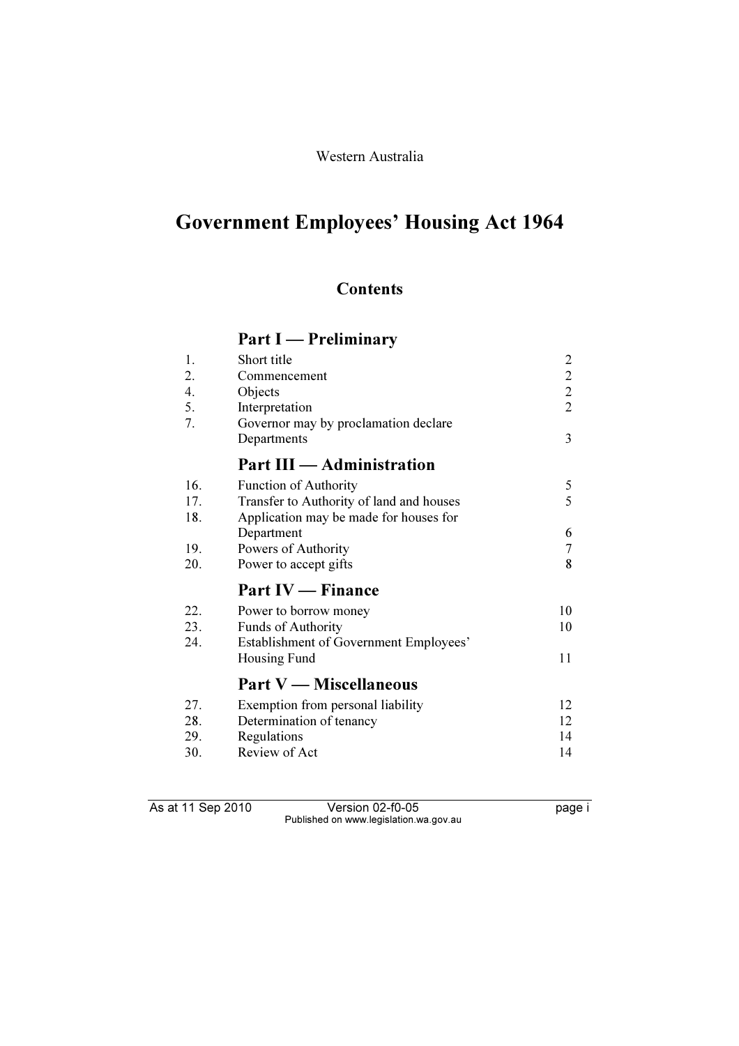## Western Australia

# Government Employees' Housing Act 1964

# **Contents**

# Part I — Preliminary

| 1.  | Short title                              | $\overline{2}$ |
|-----|------------------------------------------|----------------|
| 2.  | Commencement                             |                |
| 4.  | Objects                                  | $\frac{2}{2}$  |
| 5.  | Interpretation                           | $\overline{2}$ |
| 7.  | Governor may by proclamation declare     |                |
|     | Departments                              | 3              |
|     | <b>Part III — Administration</b>         |                |
| 16. | <b>Function of Authority</b>             | 5              |
| 17. | Transfer to Authority of land and houses | 5              |
| 18. | Application may be made for houses for   |                |
|     | Department                               | 6              |
| 19. | Powers of Authority                      | 7              |
| 20. | Power to accept gifts                    | 8              |
|     | <b>Part IV</b> — Finance                 |                |
| 22. | Power to borrow money                    | 10             |
| 23. | <b>Funds of Authority</b>                | 10             |
| 24. | Establishment of Government Employees'   |                |
|     | Housing Fund                             | 11             |
|     | <b>Part V</b> — Miscellaneous            |                |
| 27. | Exemption from personal liability        | 12             |
| 28. | Determination of tenancy                 | 12             |
| 29. | Regulations                              | 14             |
| 30. | Review of Act                            | 14             |

As at 11 Sep 2010 Version 02-f0-05 page i Published on www.legislation.wa.gov.au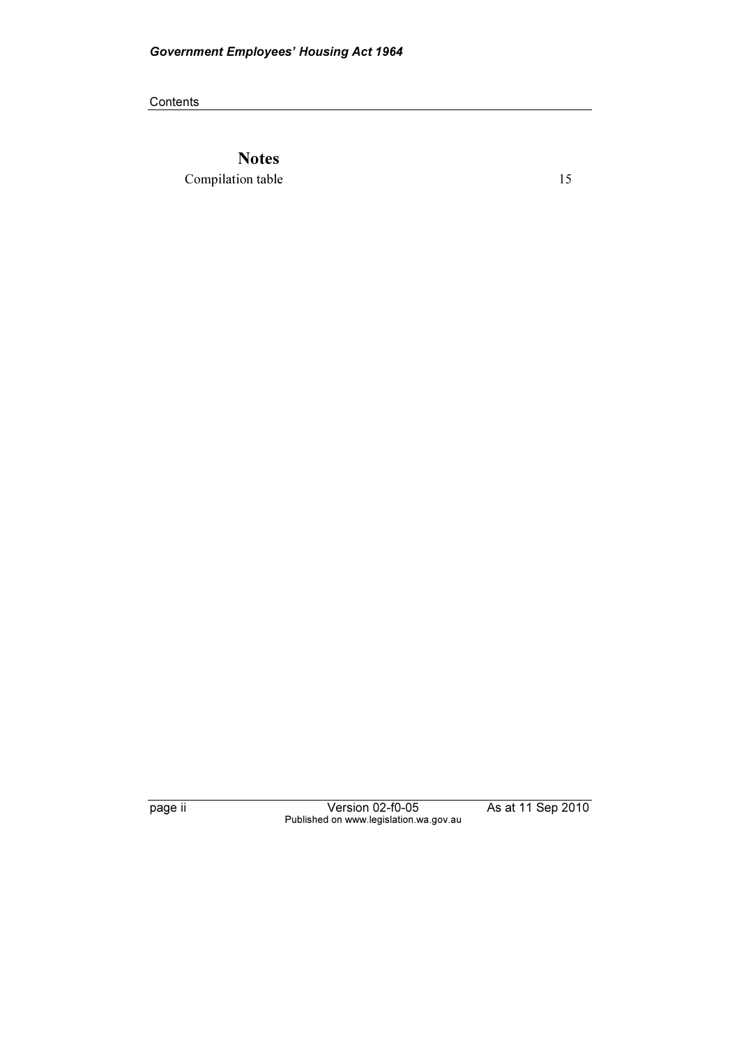**Contents** 

**Notes** Compilation table 15

page ii Version 02-f0-05 As at 11 Sep 2010 Published on www.legislation.wa.gov.au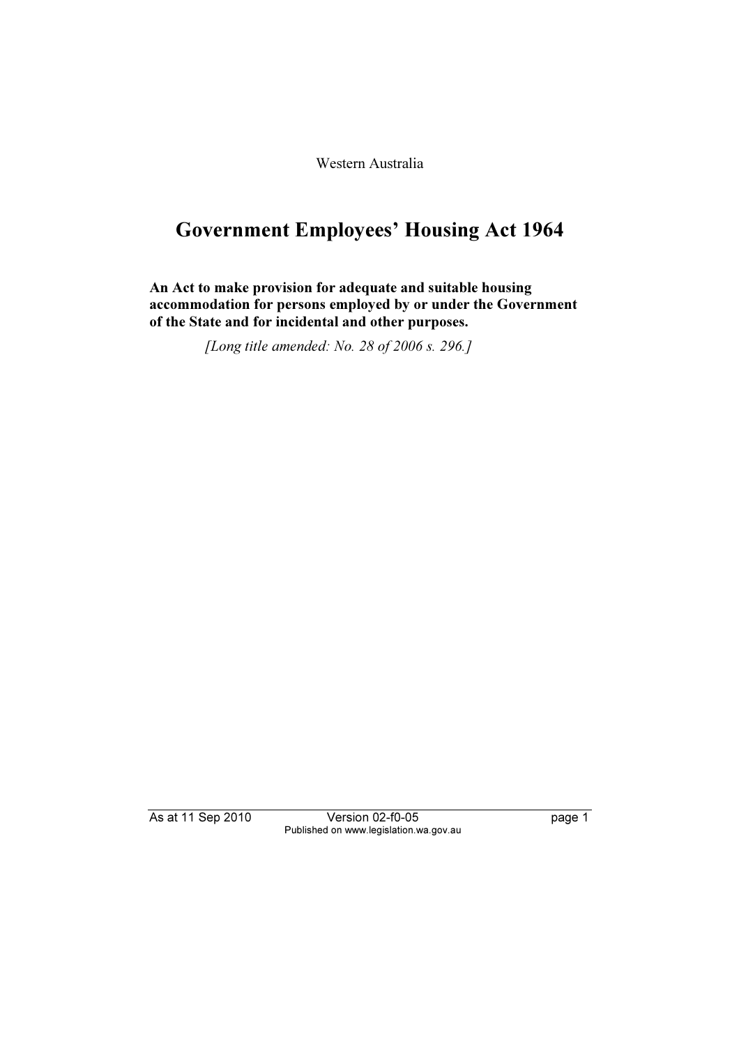Western Australia

# Government Employees' Housing Act 1964

An Act to make provision for adequate and suitable housing accommodation for persons employed by or under the Government of the State and for incidental and other purposes.

[Long title amended: No. 28 of 2006 s. 296.]

As at 11 Sep 2010 Version 02-f0-05 page 1 Published on www.legislation.wa.gov.au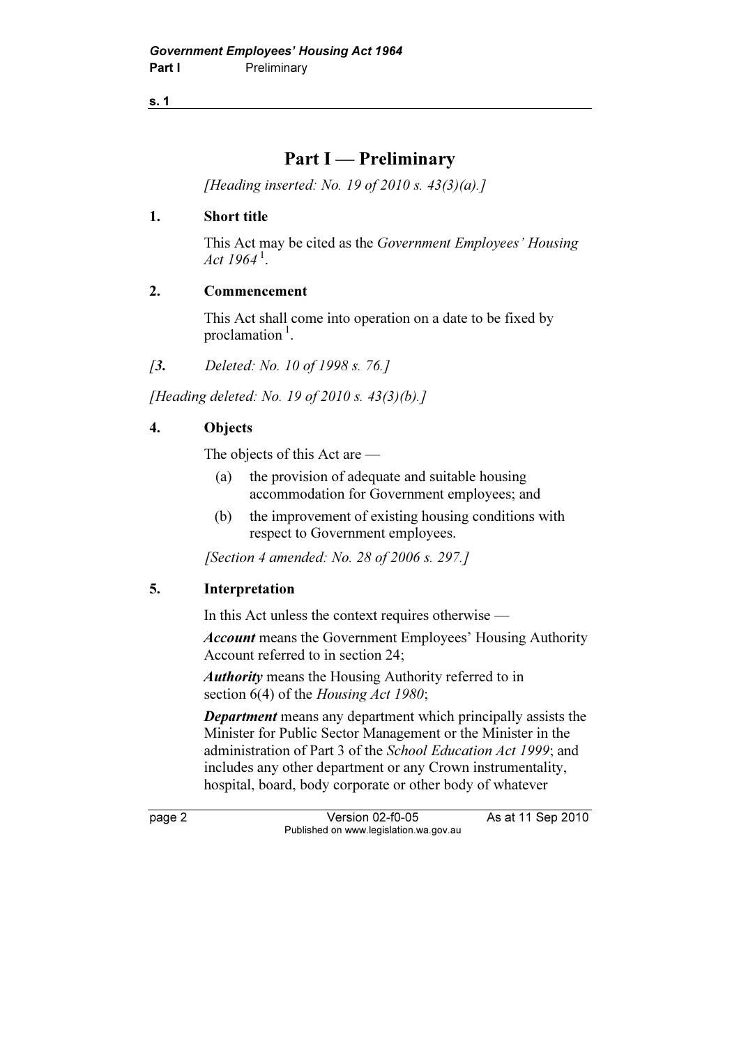## Part I — Preliminary

[Heading inserted: No. 19 of 2010 s.  $43(3)(a)$ .]

#### 1. Short title

 This Act may be cited as the Government Employees' Housing Act  $1964^{\text{1}}$ .

#### 2. Commencement

 This Act shall come into operation on a date to be fixed by proclamation $^1$ .

[3. Deleted: No. 10 of 1998 s. 76.]

[Heading deleted: No. 19 of 2010 s. 43(3)(b).]

## 4. Objects

The objects of this Act are —

- (a) the provision of adequate and suitable housing accommodation for Government employees; and
- (b) the improvement of existing housing conditions with respect to Government employees.

[Section 4 amended: No. 28 of 2006 s. 297.]

## 5. Interpretation

In this Act unless the context requires otherwise —

Account means the Government Employees' Housing Authority Account referred to in section 24;

Authority means the Housing Authority referred to in section 6(4) of the *Housing Act 1980*;

**Department** means any department which principally assists the Minister for Public Sector Management or the Minister in the administration of Part 3 of the School Education Act 1999; and includes any other department or any Crown instrumentality, hospital, board, body corporate or other body of whatever

page 2 Version 02-f0-05 As at 11 Sep 2010 Published on www.legislation.wa.gov.au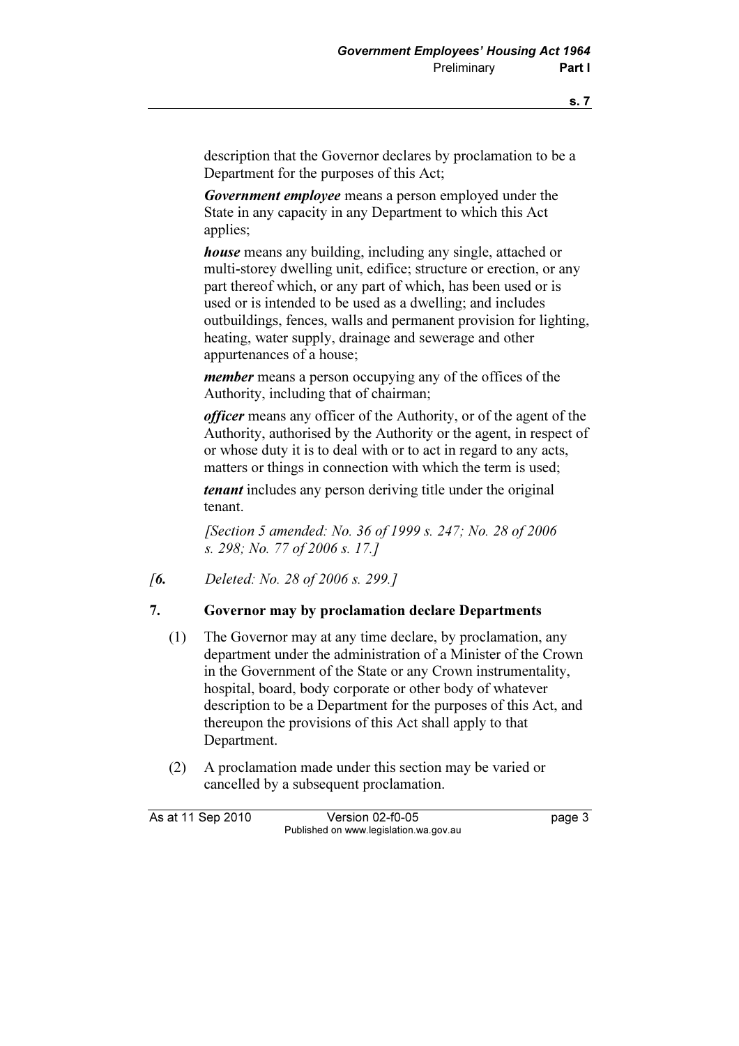description that the Governor declares by proclamation to be a Department for the purposes of this Act;

Government employee means a person employed under the State in any capacity in any Department to which this Act applies;

house means any building, including any single, attached or multi-storey dwelling unit, edifice; structure or erection, or any part thereof which, or any part of which, has been used or is used or is intended to be used as a dwelling; and includes outbuildings, fences, walls and permanent provision for lighting, heating, water supply, drainage and sewerage and other appurtenances of a house;

member means a person occupying any of the offices of the Authority, including that of chairman;

officer means any officer of the Authority, or of the agent of the Authority, authorised by the Authority or the agent, in respect of or whose duty it is to deal with or to act in regard to any acts, matters or things in connection with which the term is used;

tenant includes any person deriving title under the original tenant.

 [Section 5 amended: No. 36 of 1999 s. 247; No. 28 of 2006 s. 298; No. 77 of 2006 s. 17.]

[6. Deleted: No. 28 of 2006 s. 299.]

#### 7. Governor may by proclamation declare Departments

- (1) The Governor may at any time declare, by proclamation, any department under the administration of a Minister of the Crown in the Government of the State or any Crown instrumentality, hospital, board, body corporate or other body of whatever description to be a Department for the purposes of this Act, and thereupon the provisions of this Act shall apply to that Department.
- (2) A proclamation made under this section may be varied or cancelled by a subsequent proclamation.

As at 11 Sep 2010 Version 02-f0-05 Page 3 Published on www.legislation.wa.gov.au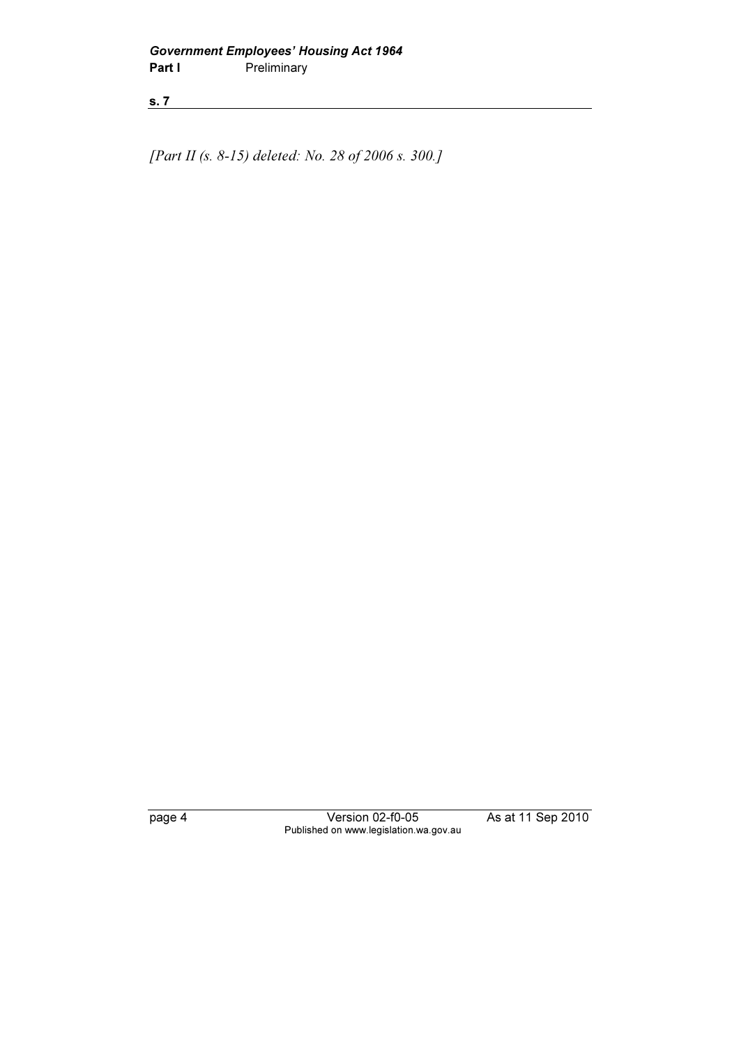[Part II (s. 8-15) deleted: No. 28 of 2006 s. 300.]

page 4 Version 02-f0-05 As at 11 Sep 2010 Published on www.legislation.wa.gov.au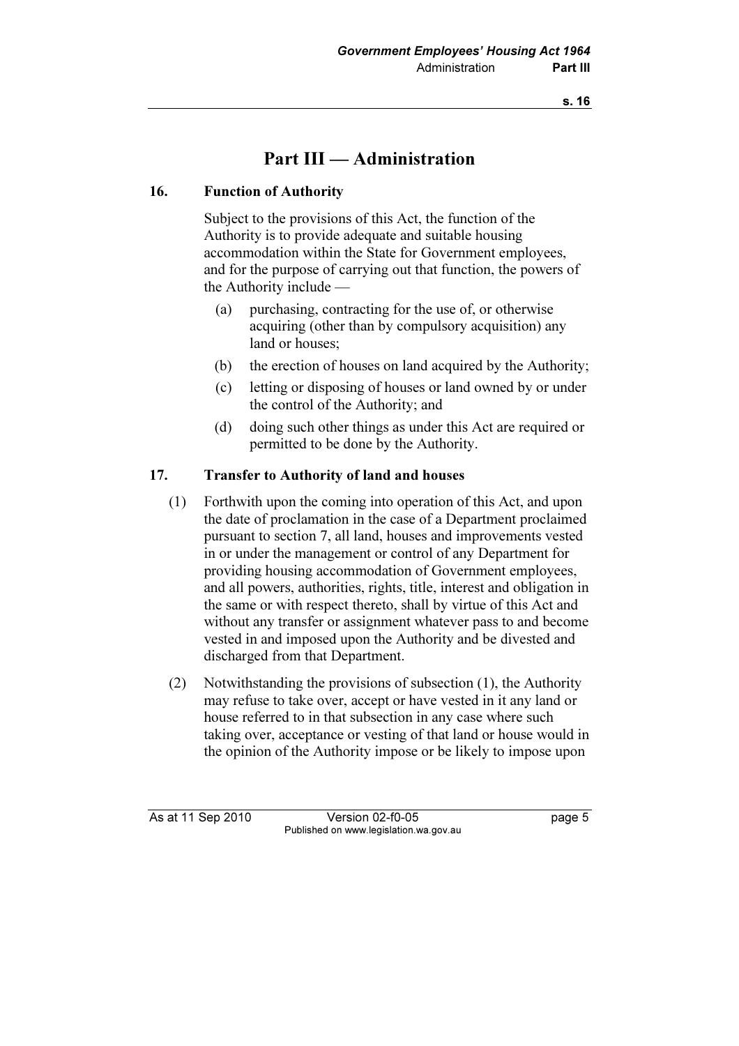# Part III — Administration

## 16. Function of Authority

 Subject to the provisions of this Act, the function of the Authority is to provide adequate and suitable housing accommodation within the State for Government employees, and for the purpose of carrying out that function, the powers of the Authority include —

- (a) purchasing, contracting for the use of, or otherwise acquiring (other than by compulsory acquisition) any land or houses;
- (b) the erection of houses on land acquired by the Authority;
- (c) letting or disposing of houses or land owned by or under the control of the Authority; and
- (d) doing such other things as under this Act are required or permitted to be done by the Authority.

## 17. Transfer to Authority of land and houses

- (1) Forthwith upon the coming into operation of this Act, and upon the date of proclamation in the case of a Department proclaimed pursuant to section 7, all land, houses and improvements vested in or under the management or control of any Department for providing housing accommodation of Government employees, and all powers, authorities, rights, title, interest and obligation in the same or with respect thereto, shall by virtue of this Act and without any transfer or assignment whatever pass to and become vested in and imposed upon the Authority and be divested and discharged from that Department.
- (2) Notwithstanding the provisions of subsection (1), the Authority may refuse to take over, accept or have vested in it any land or house referred to in that subsection in any case where such taking over, acceptance or vesting of that land or house would in the opinion of the Authority impose or be likely to impose upon

As at 11 Sep 2010 Version 02-f0-05 **page 5** Published on www.legislation.wa.gov.au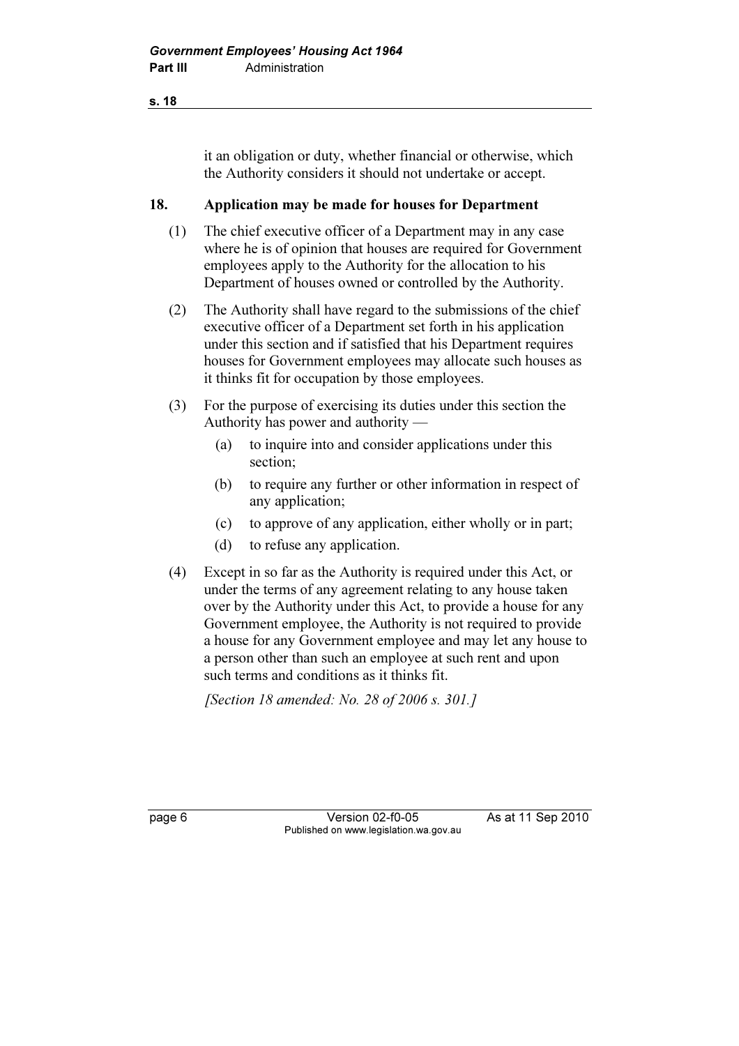it an obligation or duty, whether financial or otherwise, which the Authority considers it should not undertake or accept.

#### 18. Application may be made for houses for Department

- (1) The chief executive officer of a Department may in any case where he is of opinion that houses are required for Government employees apply to the Authority for the allocation to his Department of houses owned or controlled by the Authority.
- (2) The Authority shall have regard to the submissions of the chief executive officer of a Department set forth in his application under this section and if satisfied that his Department requires houses for Government employees may allocate such houses as it thinks fit for occupation by those employees.
- (3) For the purpose of exercising its duties under this section the Authority has power and authority —
	- (a) to inquire into and consider applications under this section;
	- (b) to require any further or other information in respect of any application;
	- (c) to approve of any application, either wholly or in part;
	- (d) to refuse any application.
- (4) Except in so far as the Authority is required under this Act, or under the terms of any agreement relating to any house taken over by the Authority under this Act, to provide a house for any Government employee, the Authority is not required to provide a house for any Government employee and may let any house to a person other than such an employee at such rent and upon such terms and conditions as it thinks fit.

[Section 18 amended: No. 28 of 2006 s. 301.]

page 6 Version 02-f0-05 As at 11 Sep 2010 Published on www.legislation.wa.gov.au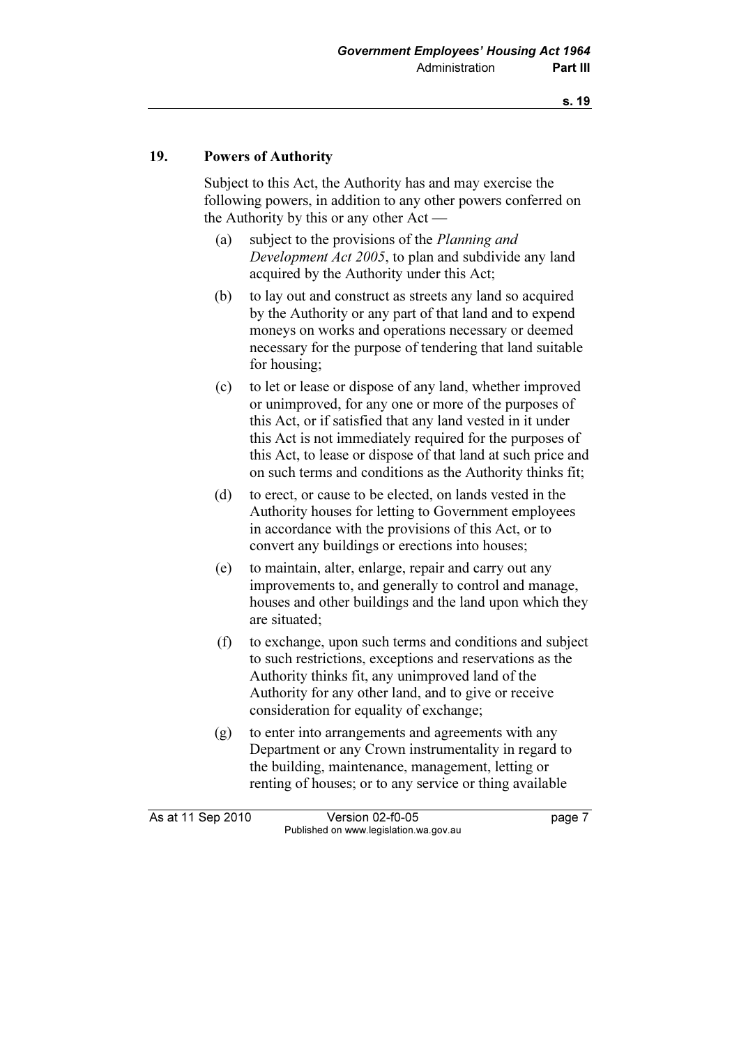#### 19. Powers of Authority

 Subject to this Act, the Authority has and may exercise the following powers, in addition to any other powers conferred on the Authority by this or any other Act —

- (a) subject to the provisions of the Planning and Development Act 2005, to plan and subdivide any land acquired by the Authority under this Act;
- (b) to lay out and construct as streets any land so acquired by the Authority or any part of that land and to expend moneys on works and operations necessary or deemed necessary for the purpose of tendering that land suitable for housing;
- (c) to let or lease or dispose of any land, whether improved or unimproved, for any one or more of the purposes of this Act, or if satisfied that any land vested in it under this Act is not immediately required for the purposes of this Act, to lease or dispose of that land at such price and on such terms and conditions as the Authority thinks fit;
- (d) to erect, or cause to be elected, on lands vested in the Authority houses for letting to Government employees in accordance with the provisions of this Act, or to convert any buildings or erections into houses;
- (e) to maintain, alter, enlarge, repair and carry out any improvements to, and generally to control and manage, houses and other buildings and the land upon which they are situated;
- (f) to exchange, upon such terms and conditions and subject to such restrictions, exceptions and reservations as the Authority thinks fit, any unimproved land of the Authority for any other land, and to give or receive consideration for equality of exchange;
- (g) to enter into arrangements and agreements with any Department or any Crown instrumentality in regard to the building, maintenance, management, letting or renting of houses; or to any service or thing available

As at 11 Sep 2010 Version 02-f0-05 Page 7 Published on www.legislation.wa.gov.au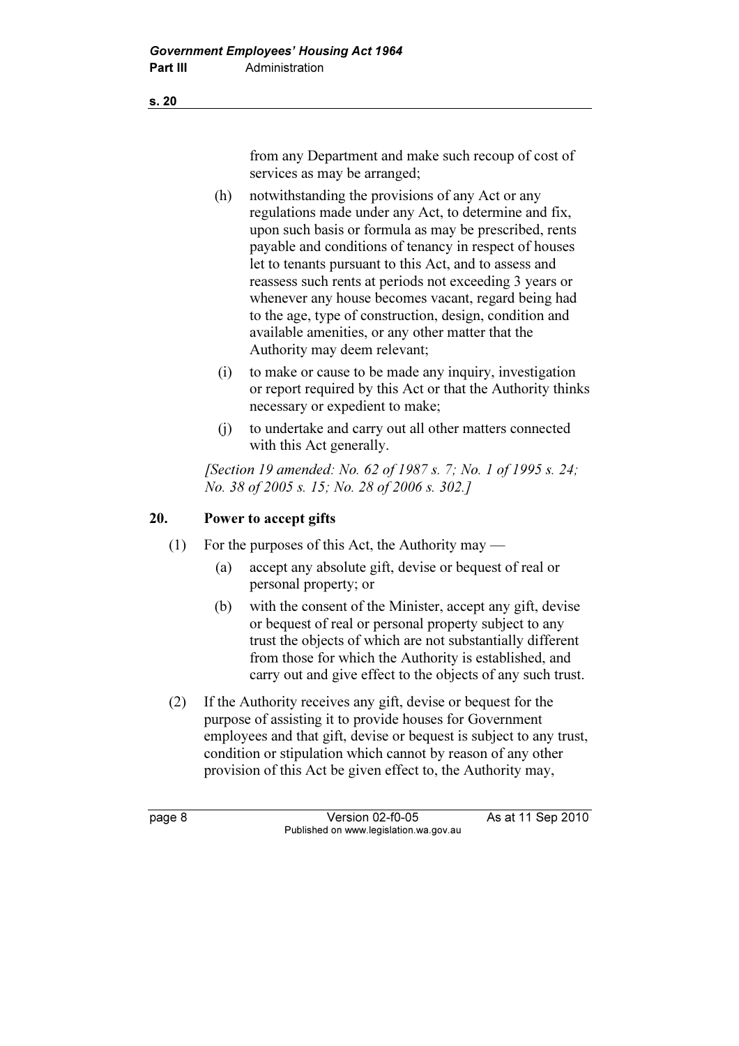from any Department and make such recoup of cost of services as may be arranged;

- (h) notwithstanding the provisions of any Act or any regulations made under any Act, to determine and fix, upon such basis or formula as may be prescribed, rents payable and conditions of tenancy in respect of houses let to tenants pursuant to this Act, and to assess and reassess such rents at periods not exceeding 3 years or whenever any house becomes vacant, regard being had to the age, type of construction, design, condition and available amenities, or any other matter that the Authority may deem relevant;
- (i) to make or cause to be made any inquiry, investigation or report required by this Act or that the Authority thinks necessary or expedient to make;
- (j) to undertake and carry out all other matters connected with this Act generally.

[Section 19 amended: No. 62 of 1987 s. 7; No. 1 of 1995 s. 24; No. 38 of 2005 s. 15; No. 28 of 2006 s. 302.]

## 20. Power to accept gifts

- (1) For the purposes of this Act, the Authority may
	- (a) accept any absolute gift, devise or bequest of real or personal property; or
	- (b) with the consent of the Minister, accept any gift, devise or bequest of real or personal property subject to any trust the objects of which are not substantially different from those for which the Authority is established, and carry out and give effect to the objects of any such trust.
- (2) If the Authority receives any gift, devise or bequest for the purpose of assisting it to provide houses for Government employees and that gift, devise or bequest is subject to any trust, condition or stipulation which cannot by reason of any other provision of this Act be given effect to, the Authority may,

page 8 Version 02-f0-05 As at 11 Sep 2010 Published on www.legislation.wa.gov.au

s. 20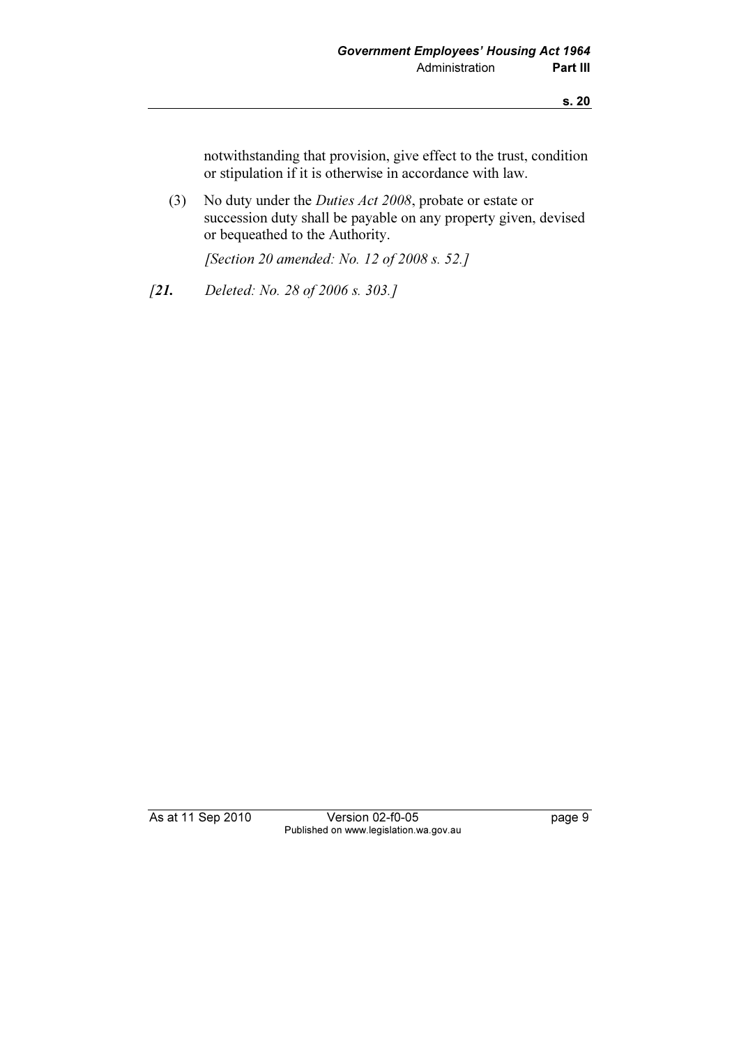notwithstanding that provision, give effect to the trust, condition or stipulation if it is otherwise in accordance with law.

 (3) No duty under the Duties Act 2008, probate or estate or succession duty shall be payable on any property given, devised or bequeathed to the Authority.

[Section 20 amended: No. 12 of 2008 s. 52.]

[21. Deleted: No. 28 of 2006 s. 303.]

As at 11 Sep 2010 Version 02-f0-05 page 9 Published on www.legislation.wa.gov.au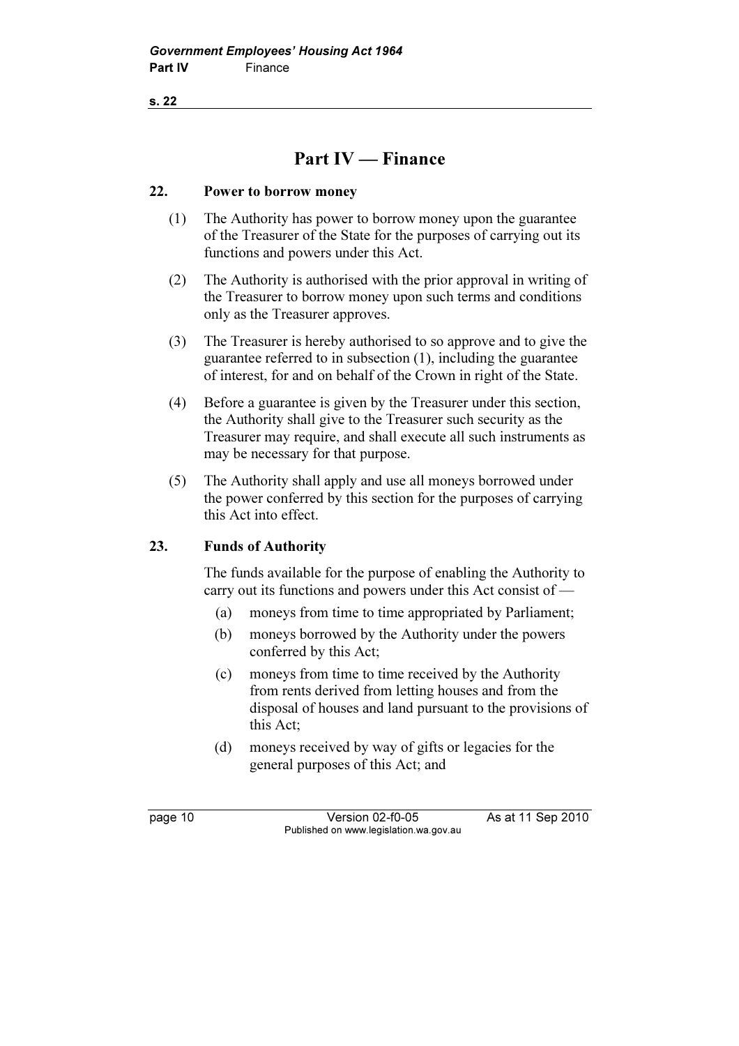# Part IV — Finance

#### 22. Power to borrow money

- (1) The Authority has power to borrow money upon the guarantee of the Treasurer of the State for the purposes of carrying out its functions and powers under this Act.
- (2) The Authority is authorised with the prior approval in writing of the Treasurer to borrow money upon such terms and conditions only as the Treasurer approves.
- (3) The Treasurer is hereby authorised to so approve and to give the guarantee referred to in subsection (1), including the guarantee of interest, for and on behalf of the Crown in right of the State.
- (4) Before a guarantee is given by the Treasurer under this section, the Authority shall give to the Treasurer such security as the Treasurer may require, and shall execute all such instruments as may be necessary for that purpose.
- (5) The Authority shall apply and use all moneys borrowed under the power conferred by this section for the purposes of carrying this Act into effect.

## 23. Funds of Authority

 The funds available for the purpose of enabling the Authority to carry out its functions and powers under this Act consist of —

- (a) moneys from time to time appropriated by Parliament;
- (b) moneys borrowed by the Authority under the powers conferred by this Act;
- (c) moneys from time to time received by the Authority from rents derived from letting houses and from the disposal of houses and land pursuant to the provisions of this Act;
- (d) moneys received by way of gifts or legacies for the general purposes of this Act; and

page 10 Version 02-f0-05 As at 11 Sep 2010 Published on www.legislation.wa.gov.au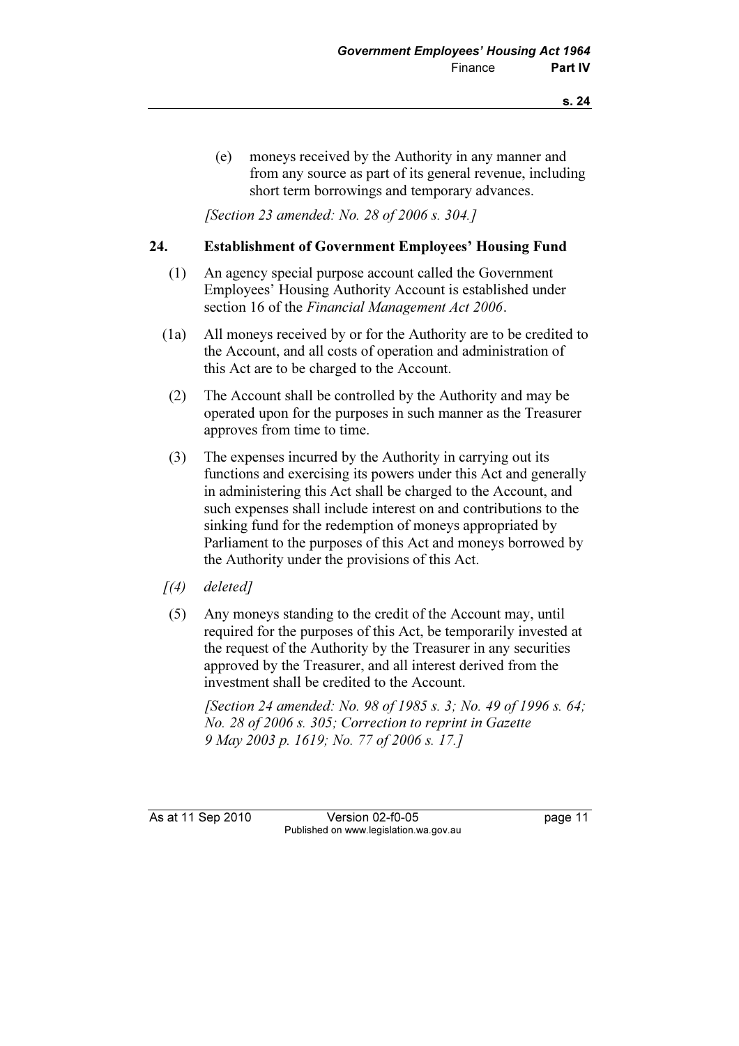(e) moneys received by the Authority in any manner and from any source as part of its general revenue, including short term borrowings and temporary advances.

[Section 23 amended: No. 28 of 2006 s. 304.]

#### 24. Establishment of Government Employees' Housing Fund

- (1) An agency special purpose account called the Government Employees' Housing Authority Account is established under section 16 of the Financial Management Act 2006.
- (1a) All moneys received by or for the Authority are to be credited to the Account, and all costs of operation and administration of this Act are to be charged to the Account.
- (2) The Account shall be controlled by the Authority and may be operated upon for the purposes in such manner as the Treasurer approves from time to time.
- (3) The expenses incurred by the Authority in carrying out its functions and exercising its powers under this Act and generally in administering this Act shall be charged to the Account, and such expenses shall include interest on and contributions to the sinking fund for the redemption of moneys appropriated by Parliament to the purposes of this Act and moneys borrowed by the Authority under the provisions of this Act.
- $(4)$  deleted]
- (5) Any moneys standing to the credit of the Account may, until required for the purposes of this Act, be temporarily invested at the request of the Authority by the Treasurer in any securities approved by the Treasurer, and all interest derived from the investment shall be credited to the Account.

[Section 24 amended: No. 98 of 1985 s. 3; No. 49 of 1996 s. 64; No. 28 of 2006 s. 305; Correction to reprint in Gazette 9 May 2003 p. 1619; No. 77 of 2006 s. 17.]

As at 11 Sep 2010 Version 02-f0-05 Page 11 Published on www.legislation.wa.gov.au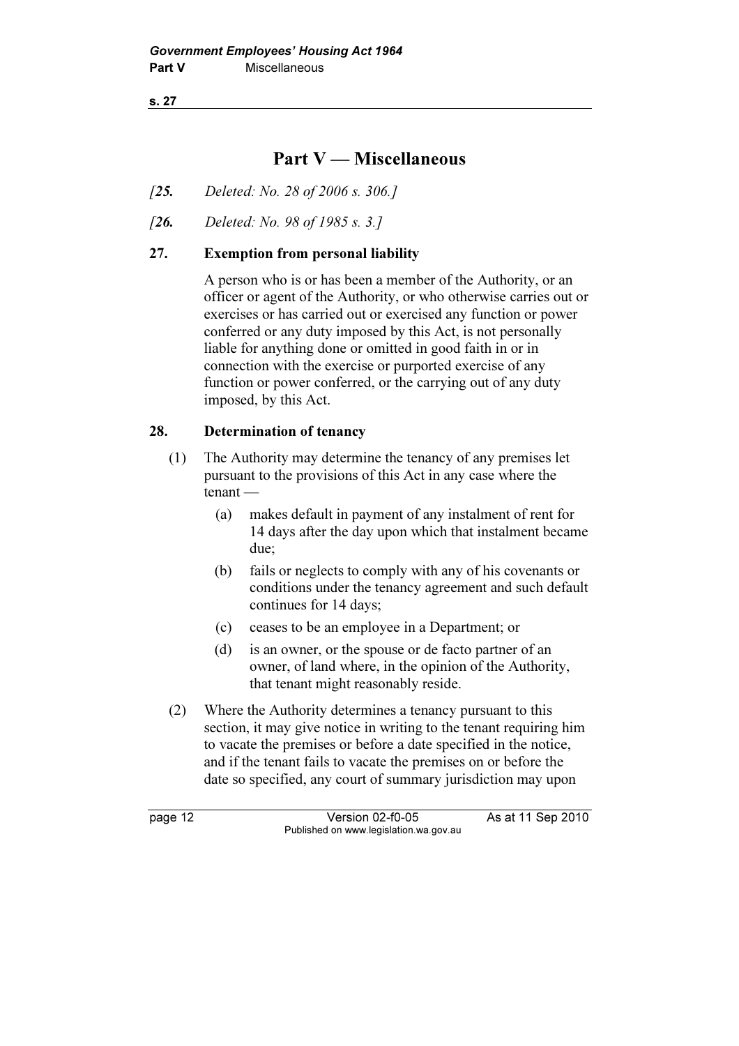## Part V — Miscellaneous

- [25. Deleted: No. 28 of 2006 s. 306.]
- [26. Deleted: No. 98 of 1985 s. 3.]

#### 27. Exemption from personal liability

 A person who is or has been a member of the Authority, or an officer or agent of the Authority, or who otherwise carries out or exercises or has carried out or exercised any function or power conferred or any duty imposed by this Act, is not personally liable for anything done or omitted in good faith in or in connection with the exercise or purported exercise of any function or power conferred, or the carrying out of any duty imposed, by this Act.

#### 28. Determination of tenancy

- (1) The Authority may determine the tenancy of any premises let pursuant to the provisions of this Act in any case where the tenant —
	- (a) makes default in payment of any instalment of rent for 14 days after the day upon which that instalment became due;
	- (b) fails or neglects to comply with any of his covenants or conditions under the tenancy agreement and such default continues for 14 days;
	- (c) ceases to be an employee in a Department; or
	- (d) is an owner, or the spouse or de facto partner of an owner, of land where, in the opinion of the Authority, that tenant might reasonably reside.
- (2) Where the Authority determines a tenancy pursuant to this section, it may give notice in writing to the tenant requiring him to vacate the premises or before a date specified in the notice, and if the tenant fails to vacate the premises on or before the date so specified, any court of summary jurisdiction may upon

page 12 Version 02-f0-05 As at 11 Sep 2010 Published on www.legislation.wa.gov.au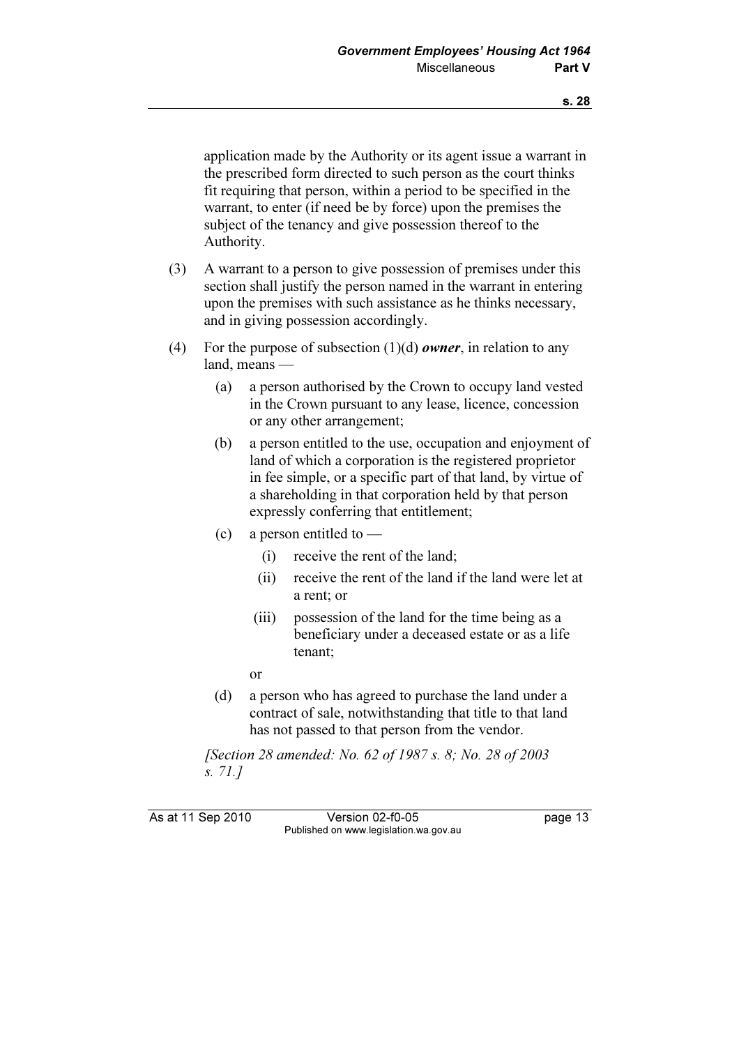application made by the Authority or its agent issue a warrant in the prescribed form directed to such person as the court thinks fit requiring that person, within a period to be specified in the warrant, to enter (if need be by force) upon the premises the subject of the tenancy and give possession thereof to the Authority.

- (3) A warrant to a person to give possession of premises under this section shall justify the person named in the warrant in entering upon the premises with such assistance as he thinks necessary, and in giving possession accordingly.
- (4) For the purpose of subsection  $(1)(d)$  owner, in relation to any land, means —
	- (a) a person authorised by the Crown to occupy land vested in the Crown pursuant to any lease, licence, concession or any other arrangement;
	- (b) a person entitled to the use, occupation and enjoyment of land of which a corporation is the registered proprietor in fee simple, or a specific part of that land, by virtue of a shareholding in that corporation held by that person expressly conferring that entitlement;
	- (c) a person entitled to  $-$ 
		- (i) receive the rent of the land;
		- (ii) receive the rent of the land if the land were let at a rent; or
		- (iii) possession of the land for the time being as a beneficiary under a deceased estate or as a life tenant;
		- or
	- (d) a person who has agreed to purchase the land under a contract of sale, notwithstanding that title to that land has not passed to that person from the vendor.

 [Section 28 amended: No. 62 of 1987 s. 8; No. 28 of 2003 s. 71.]

As at 11 Sep 2010 Version 02-f0-05 Page 13 Published on www.legislation.wa.gov.au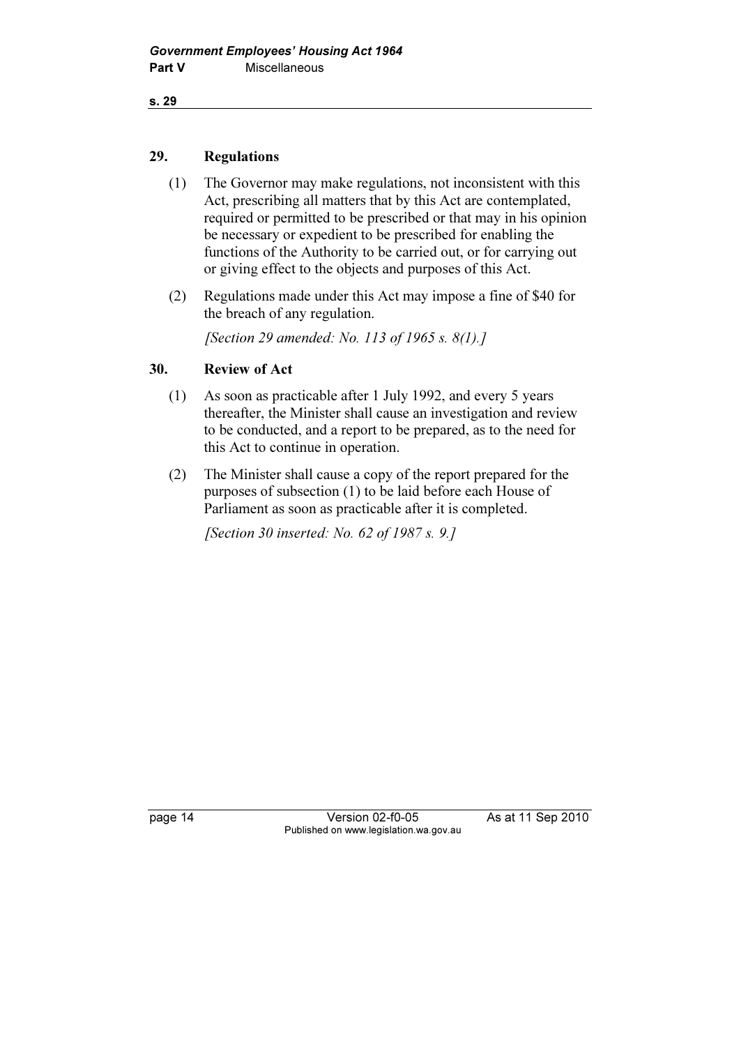#### 29. Regulations

- (1) The Governor may make regulations, not inconsistent with this Act, prescribing all matters that by this Act are contemplated, required or permitted to be prescribed or that may in his opinion be necessary or expedient to be prescribed for enabling the functions of the Authority to be carried out, or for carrying out or giving effect to the objects and purposes of this Act.
- (2) Regulations made under this Act may impose a fine of \$40 for the breach of any regulation.

[Section 29 amended: No. 113 of 1965 s. 8(1).]

## 30. Review of Act

- (1) As soon as practicable after 1 July 1992, and every 5 years thereafter, the Minister shall cause an investigation and review to be conducted, and a report to be prepared, as to the need for this Act to continue in operation.
- (2) The Minister shall cause a copy of the report prepared for the purposes of subsection (1) to be laid before each House of Parliament as soon as practicable after it is completed.

[Section 30 inserted: No. 62 of 1987 s. 9.]

page 14 Version 02-f0-05 As at 11 Sep 2010 Published on www.legislation.wa.gov.au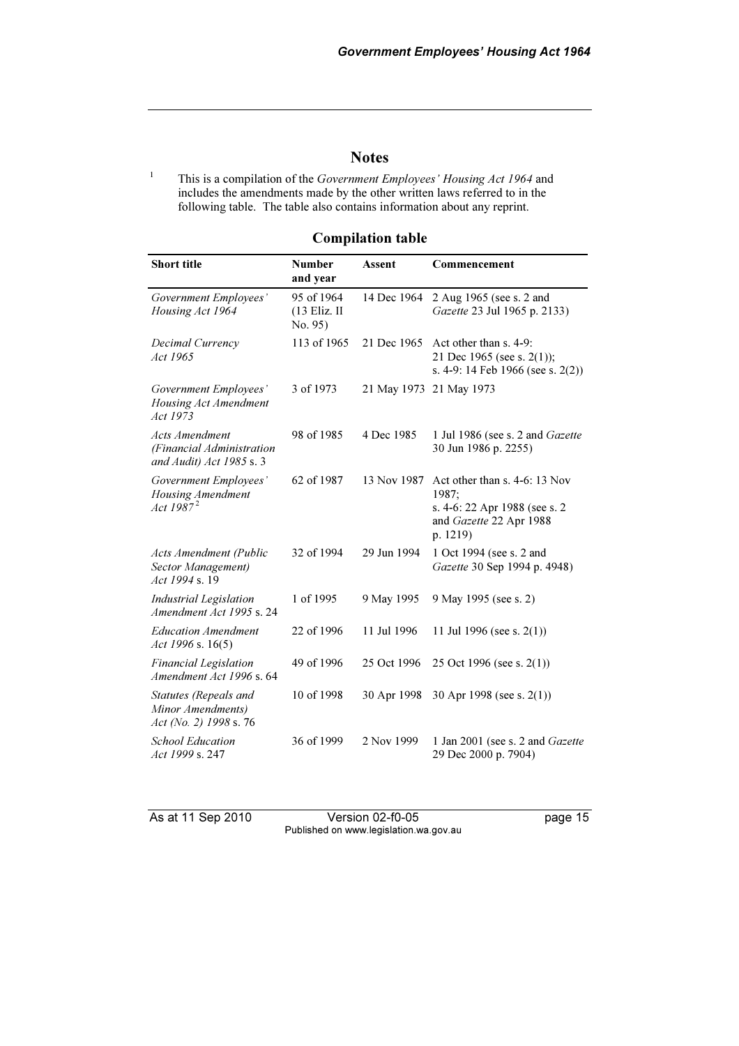#### **Notes**

1 This is a compilation of the Government Employees' Housing Act 1964 and includes the amendments made by the other written laws referred to in the following table. The table also contains information about any reprint.

| <b>Compilation table</b> |  |  |  |
|--------------------------|--|--|--|
|--------------------------|--|--|--|

| <b>Short title</b>                                                      | <b>Number</b><br>and year             | <b>Assent</b> | Commencement                                                                                                   |
|-------------------------------------------------------------------------|---------------------------------------|---------------|----------------------------------------------------------------------------------------------------------------|
| Government Employees'<br>Housing Act 1964                               | 95 of 1964<br>(13 Eliz. II<br>No. 95) | 14 Dec 1964   | 2 Aug 1965 (see s. 2 and<br>Gazette 23 Jul 1965 p. 2133)                                                       |
| Decimal Currency<br>Act 1965                                            | 113 of 1965                           | 21 Dec 1965   | Act other than s. 4-9:<br>21 Dec 1965 (see s. 2(1));<br>s. 4-9: 14 Feb 1966 (see s. 2(2))                      |
| Government Employees'<br>Housing Act Amendment<br>Act 1973              | 3 of 1973                             |               | 21 May 1973 21 May 1973                                                                                        |
| Acts Amendment<br>(Financial Administration<br>and Audit) Act 1985 s. 3 | 98 of 1985                            | 4 Dec 1985    | 1 Jul 1986 (see s. 2 and Gazette<br>30 Jun 1986 p. 2255)                                                       |
| Government Employees'<br>Housing Amendment<br>Act $1987^2$              | 62 of 1987                            | 13 Nov 1987   | Act other than s. 4-6: 13 Nov<br>1987:<br>s. 4-6: 22 Apr 1988 (see s. 2<br>and Gazette 22 Apr 1988<br>p. 1219) |
| <b>Acts Amendment (Public</b><br>Sector Management)<br>Act 1994 s. 19   | 32 of 1994                            | 29 Jun 1994   | 1 Oct 1994 (see s. 2 and<br>Gazette 30 Sep 1994 p. 4948)                                                       |
| <b>Industrial Legislation</b><br>Amendment Act 1995 s. 24               | 1 of 1995                             | 9 May 1995    | 9 May 1995 (see s. 2)                                                                                          |
| <b>Education Amendment</b><br>Act 1996 s. 16(5)                         | 22 of 1996                            | 11 Jul 1996   | 11 Jul 1996 (see s. $2(1)$ )                                                                                   |
| <b>Financial Legislation</b><br>Amendment Act 1996 s. 64                | 49 of 1996                            | 25 Oct 1996   | 25 Oct 1996 (see s. $2(1)$ )                                                                                   |
| Statutes (Repeals and<br>Minor Amendments)<br>Act (No. 2) 1998 s. 76    | 10 of 1998                            | 30 Apr 1998   | 30 Apr 1998 (see s. $2(1)$ )                                                                                   |
| <b>School Education</b><br>Act 1999 s. 247                              | 36 of 1999                            | 2 Nov 1999    | 1 Jan 2001 (see s. 2 and Gazette<br>29 Dec 2000 p. 7904)                                                       |

As at 11 Sep 2010 Version 02-f0-05 page 15 Published on www.legislation.wa.gov.au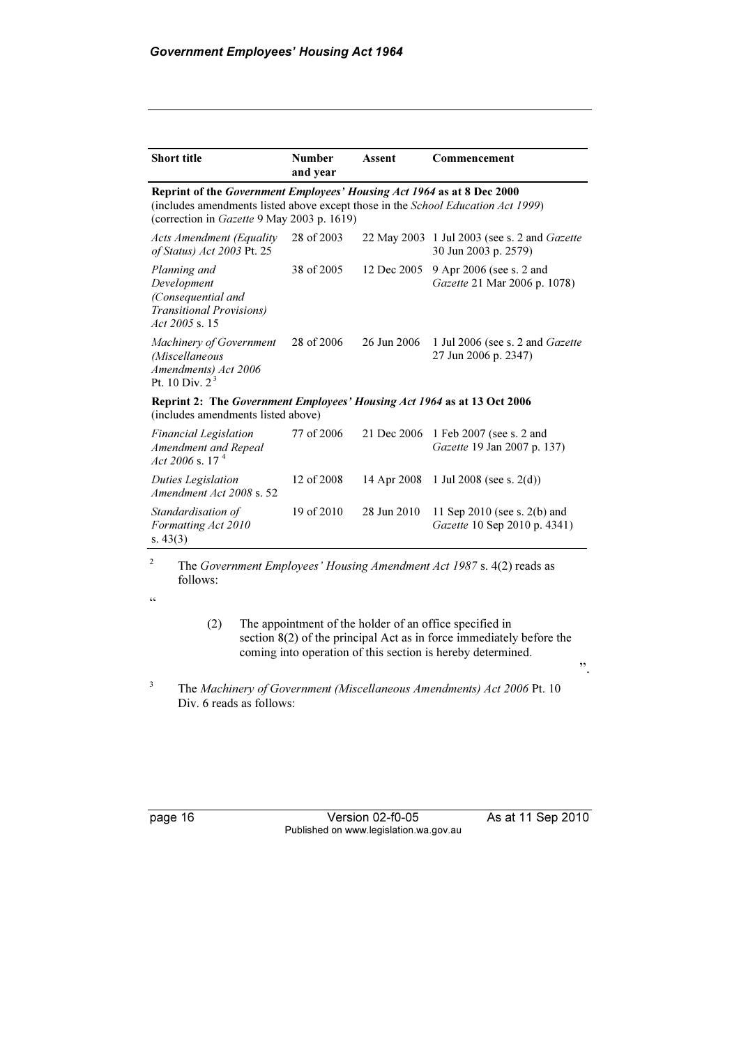| <b>Short title</b>                                                                                                                                                                                       | <b>Number</b><br>and year | Assent      | Commencement                                                         |  |  |  |
|----------------------------------------------------------------------------------------------------------------------------------------------------------------------------------------------------------|---------------------------|-------------|----------------------------------------------------------------------|--|--|--|
| Reprint of the Government Employees' Housing Act 1964 as at 8 Dec 2000<br>(includes amendments listed above except those in the School Education Act 1999)<br>(correction in Gazette 9 May 2003 p. 1619) |                           |             |                                                                      |  |  |  |
| <b>Acts Amendment (Equality</b><br>of Status) Act 2003 Pt. 25                                                                                                                                            | 28 of 2003                |             | 22 May 2003 1 Jul 2003 (see s. 2 and Gazette<br>30 Jun 2003 p. 2579) |  |  |  |
| Planning and<br>Development<br>(Consequential and<br><b>Transitional Provisions</b> )<br>$Act\,2005\,$ s. 15                                                                                             | 38 of 2005                | 12 Dec 2005 | 9 Apr 2006 (see s. 2 and<br>Gazette 21 Mar 2006 p. 1078)             |  |  |  |
| Machinery of Government<br>(Miscellaneous<br>Amendments) Act 2006<br>Pt. 10 Div. $2^3$                                                                                                                   | 28 of 2006                | 26 Jun 2006 | 1 Jul 2006 (see s. 2 and <i>Gazette</i><br>27 Jun 2006 p. 2347)      |  |  |  |
| Reprint 2: The Government Employees' Housing Act 1964 as at 13 Oct 2006<br>(includes amendments listed above)                                                                                            |                           |             |                                                                      |  |  |  |
| <b>Financial Legislation</b><br>Amendment and Repeal<br>Act 2006 s. 17 <sup>4</sup>                                                                                                                      | 77 of 2006                | 21 Dec 2006 | 1 Feb 2007 (see s. 2 and<br><i>Gazette</i> 19 Jan 2007 p. 137)       |  |  |  |
| Duties Legislation<br>Amendment Act 2008 s. 52                                                                                                                                                           | 12 of 2008                | 14 Apr 2008 | 1 Jul 2008 (see s. $2(d)$ )                                          |  |  |  |
| Standardisation of<br>Formatting Act 2010<br>s. $43(3)$                                                                                                                                                  | 19 of 2010                | 28 Jun 2010 | 11 Sep 2010 (see s. 2(b) and<br>Gazette 10 Sep 2010 p. 4341)         |  |  |  |

2 The Government Employees' Housing Amendment Act 1987 s. 4(2) reads as follows:

 $\zeta\,\zeta$ 

 (2) The appointment of the holder of an office specified in section 8(2) of the principal Act as in force immediately before the coming into operation of this section is hereby determined.

3 The Machinery of Government (Miscellaneous Amendments) Act 2006 Pt. 10 Div. 6 reads as follows:

page 16 Version 02-f0-05 As at 11 Sep 2010 Published on www.legislation.wa.gov.au

".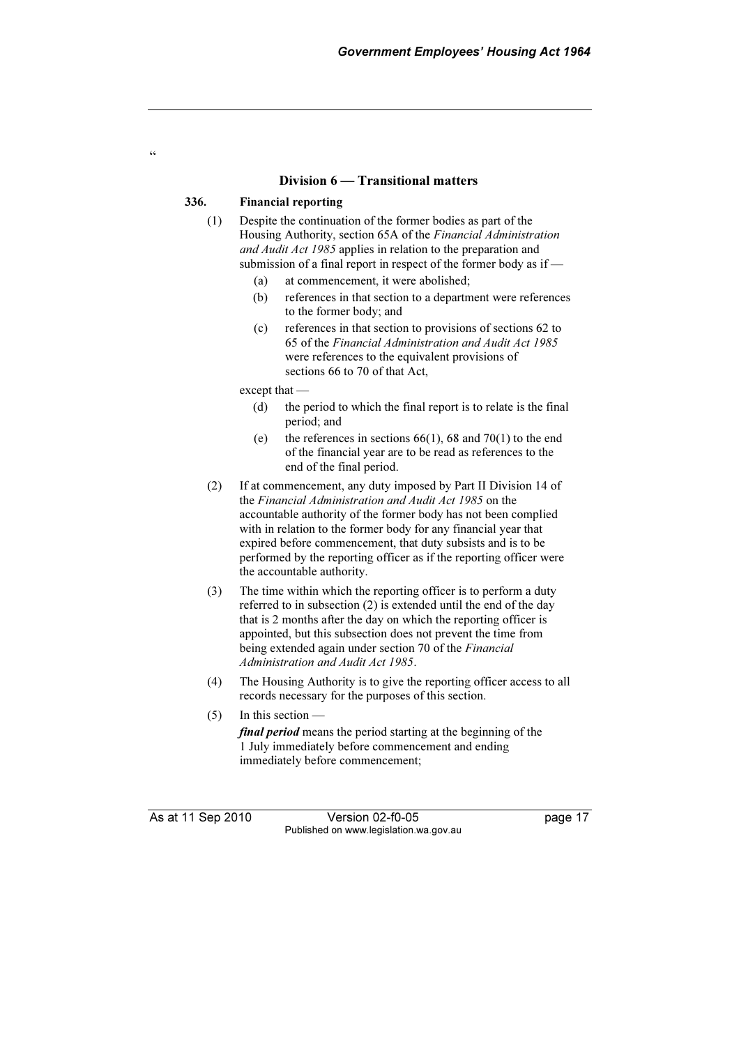#### Division 6 — Transitional matters

#### 336. Financial reporting

 $\epsilon$ 

- (1) Despite the continuation of the former bodies as part of the Housing Authority, section 65A of the Financial Administration and Audit Act 1985 applies in relation to the preparation and submission of a final report in respect of the former body as if —
	- (a) at commencement, it were abolished;
	- (b) references in that section to a department were references to the former body; and
	- (c) references in that section to provisions of sections 62 to 65 of the Financial Administration and Audit Act 1985 were references to the equivalent provisions of sections 66 to 70 of that Act,

except that —

- (d) the period to which the final report is to relate is the final period; and
- (e) the references in sections  $66(1)$ ,  $68$  and  $70(1)$  to the end of the financial year are to be read as references to the end of the final period.
- (2) If at commencement, any duty imposed by Part II Division 14 of the Financial Administration and Audit Act 1985 on the accountable authority of the former body has not been complied with in relation to the former body for any financial year that expired before commencement, that duty subsists and is to be performed by the reporting officer as if the reporting officer were the accountable authority.
- (3) The time within which the reporting officer is to perform a duty referred to in subsection (2) is extended until the end of the day that is 2 months after the day on which the reporting officer is appointed, but this subsection does not prevent the time from being extended again under section 70 of the Financial Administration and Audit Act 1985.
- (4) The Housing Authority is to give the reporting officer access to all records necessary for the purposes of this section.
- (5) In this section —

final period means the period starting at the beginning of the 1 July immediately before commencement and ending immediately before commencement;

As at 11 Sep 2010 Version 02-f0-05 Page 17 Published on www.legislation.wa.gov.au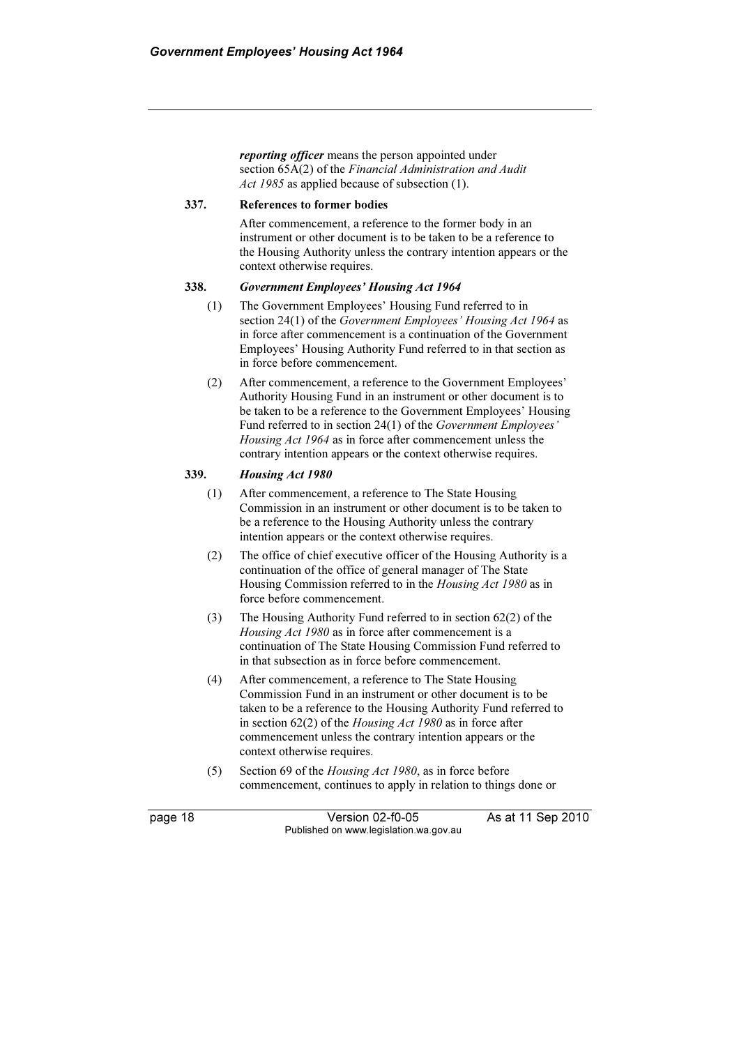reporting officer means the person appointed under section 65A(2) of the Financial Administration and Audit Act 1985 as applied because of subsection (1).

#### 337. References to former bodies

 After commencement, a reference to the former body in an instrument or other document is to be taken to be a reference to the Housing Authority unless the contrary intention appears or the context otherwise requires.

#### 338. Government Employees' Housing Act 1964

- (1) The Government Employees' Housing Fund referred to in section 24(1) of the Government Employees' Housing Act 1964 as in force after commencement is a continuation of the Government Employees' Housing Authority Fund referred to in that section as in force before commencement.
- (2) After commencement, a reference to the Government Employees' Authority Housing Fund in an instrument or other document is to be taken to be a reference to the Government Employees' Housing Fund referred to in section 24(1) of the Government Employees' Housing Act 1964 as in force after commencement unless the contrary intention appears or the context otherwise requires.

#### 339. Housing Act 1980

- (1) After commencement, a reference to The State Housing Commission in an instrument or other document is to be taken to be a reference to the Housing Authority unless the contrary intention appears or the context otherwise requires.
- (2) The office of chief executive officer of the Housing Authority is a continuation of the office of general manager of The State Housing Commission referred to in the Housing Act 1980 as in force before commencement.
- (3) The Housing Authority Fund referred to in section 62(2) of the Housing Act 1980 as in force after commencement is a continuation of The State Housing Commission Fund referred to in that subsection as in force before commencement.
- (4) After commencement, a reference to The State Housing Commission Fund in an instrument or other document is to be taken to be a reference to the Housing Authority Fund referred to in section  $62(2)$  of the *Housing Act 1980* as in force after commencement unless the contrary intention appears or the context otherwise requires.
- (5) Section 69 of the Housing Act 1980, as in force before commencement, continues to apply in relation to things done or

page 18 Version 02-f0-05 As at 11 Sep 2010 Published on www.legislation.wa.gov.au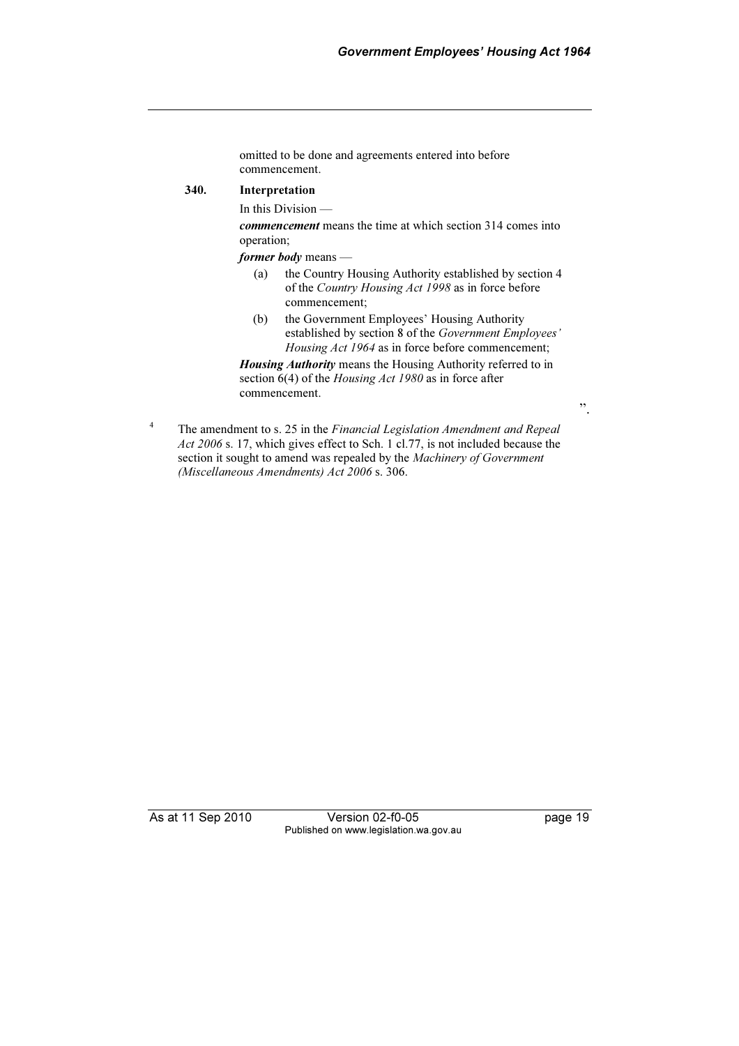omitted to be done and agreements entered into before commencement.

#### 340. Interpretation

In this Division —

commencement means the time at which section 314 comes into operation;

former body means —

- (a) the Country Housing Authority established by section 4 of the Country Housing Act 1998 as in force before commencement;
- (b) the Government Employees' Housing Authority established by section 8 of the Government Employees' Housing Act 1964 as in force before commencement;

Housing Authority means the Housing Authority referred to in section 6(4) of the *Housing Act 1980* as in force after commencement.

".

4 The amendment to s. 25 in the Financial Legislation Amendment and Repeal Act 2006 s. 17, which gives effect to Sch. 1 cl.77, is not included because the section it sought to amend was repealed by the Machinery of Government (Miscellaneous Amendments) Act 2006 s. 306.

As at 11 Sep 2010 Version 02-f0-05 Page 19 Published on www.legislation.wa.gov.au